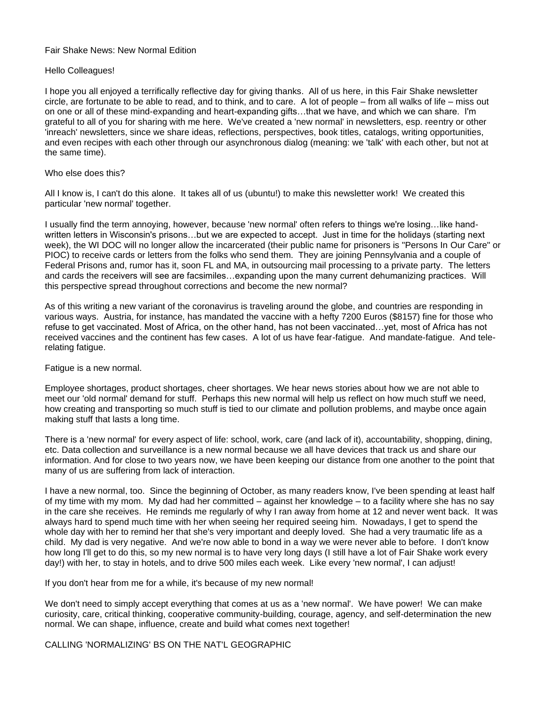## Fair Shake News: New Normal Edition

# Hello Colleagues!

I hope you all enjoyed a terrifically reflective day for giving thanks. All of us here, in this Fair Shake newsletter circle, are fortunate to be able to read, and to think, and to care. A lot of people – from all walks of life – miss out on one or all of these mind-expanding and heart-expanding gifts…that we have, and which we can share. I'm grateful to all of you for sharing with me here. We've created a 'new normal' in newsletters, esp. reentry or other 'inreach' newsletters, since we share ideas, reflections, perspectives, book titles, catalogs, writing opportunities, and even recipes with each other through our asynchronous dialog (meaning: we 'talk' with each other, but not at the same time).

# Who else does this?

All I know is, I can't do this alone. It takes all of us (ubuntu!) to make this newsletter work! We created this particular 'new normal' together.

I usually find the term annoying, however, because 'new normal' often refers to things we're losing…like handwritten letters in Wisconsin's prisons…but we are expected to accept. Just in time for the holidays (starting next week), the WI DOC will no longer allow the incarcerated (their public name for prisoners is "Persons In Our Care" or PIOC) to receive cards or letters from the folks who send them. They are joining Pennsylvania and a couple of Federal Prisons and, rumor has it, soon FL and MA, in outsourcing mail processing to a private party. The letters and cards the receivers will see are facsimiles…expanding upon the many current dehumanizing practices. Will this perspective spread throughout corrections and become the new normal?

As of this writing a new variant of the coronavirus is traveling around the globe, and countries are responding in various ways. Austria, for instance, has mandated the vaccine with a hefty 7200 Euros (\$8157) fine for those who refuse to get vaccinated. Most of Africa, on the other hand, has not been vaccinated…yet, most of Africa has not received vaccines and the continent has few cases. A lot of us have fear-fatigue. And mandate-fatigue. And telerelating fatigue.

### Fatigue is a new normal.

Employee shortages, product shortages, cheer shortages. We hear news stories about how we are not able to meet our 'old normal' demand for stuff. Perhaps this new normal will help us reflect on how much stuff we need, how creating and transporting so much stuff is tied to our climate and pollution problems, and maybe once again making stuff that lasts a long time.

There is a 'new normal' for every aspect of life: school, work, care (and lack of it), accountability, shopping, dining, etc. Data collection and surveillance is a new normal because we all have devices that track us and share our information. And for close to two years now, we have been keeping our distance from one another to the point that many of us are suffering from lack of interaction.

I have a new normal, too. Since the beginning of October, as many readers know, I've been spending at least half of my time with my mom. My dad had her committed – against her knowledge – to a facility where she has no say in the care she receives. He reminds me regularly of why I ran away from home at 12 and never went back. It was always hard to spend much time with her when seeing her required seeing him. Nowadays, I get to spend the whole day with her to remind her that she's very important and deeply loved. She had a very traumatic life as a child. My dad is very negative. And we're now able to bond in a way we were never able to before. I don't know how long I'll get to do this, so my new normal is to have very long days (I still have a lot of Fair Shake work every day!) with her, to stay in hotels, and to drive 500 miles each week. Like every 'new normal', I can adjust!

If you don't hear from me for a while, it's because of my new normal!

We don't need to simply accept everything that comes at us as a 'new normal'. We have power! We can make curiosity, care, critical thinking, cooperative community-building, courage, agency, and self-determination the new normal. We can shape, influence, create and build what comes next together!

CALLING 'NORMALIZING' BS ON THE NAT'L GEOGRAPHIC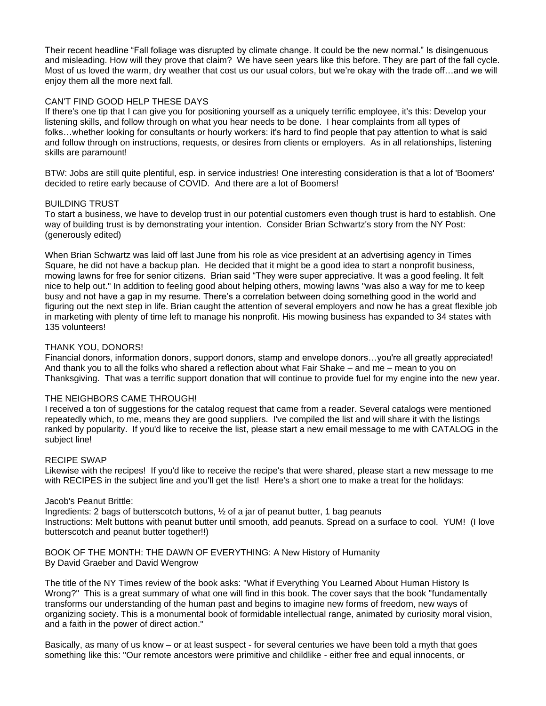Their recent headline "Fall foliage was disrupted by climate change. It could be the new normal." Is disingenuous and misleading. How will they prove that claim? We have seen years like this before. They are part of the fall cycle. Most of us loved the warm, dry weather that cost us our usual colors, but we're okay with the trade off…and we will enjoy them all the more next fall.

# CAN'T FIND GOOD HELP THESE DAYS

If there's one tip that I can give you for positioning yourself as a uniquely terrific employee, it's this: Develop your listening skills, and follow through on what you hear needs to be done. I hear complaints from all types of folks…whether looking for consultants or hourly workers: it's hard to find people that pay attention to what is said and follow through on instructions, requests, or desires from clients or employers. As in all relationships, listening skills are paramount!

BTW: Jobs are still quite plentiful, esp. in service industries! One interesting consideration is that a lot of 'Boomers' decided to retire early because of COVID. And there are a lot of Boomers!

### BUILDING TRUST

To start a business, we have to develop trust in our potential customers even though trust is hard to establish. One way of building trust is by demonstrating your intention. Consider Brian Schwartz's story from the NY Post: (generously edited)

When Brian Schwartz was laid off last June from his role as vice president at an advertising agency in Times Square, he did not have a backup plan. He decided that it might be a good idea to start a nonprofit business, mowing lawns for free for senior citizens. Brian said "They were super appreciative. It was a good feeling. It felt nice to help out." In addition to feeling good about helping others, mowing lawns "was also a way for me to keep busy and not have a gap in my resume. There's a correlation between doing something good in the world and figuring out the next step in life. Brian caught the attention of several employers and now he has a great flexible job in marketing with plenty of time left to manage his nonprofit. His mowing business has expanded to 34 states with 135 volunteers!

### THANK YOU, DONORS!

Financial donors, information donors, support donors, stamp and envelope donors...you're all greatly appreciated! And thank you to all the folks who shared a reflection about what Fair Shake – and me – mean to you on Thanksgiving. That was a terrific support donation that will continue to provide fuel for my engine into the new year.

### THE NEIGHBORS CAME THROUGH!

I received a ton of suggestions for the catalog request that came from a reader. Several catalogs were mentioned repeatedly which, to me, means they are good suppliers. I've compiled the list and will share it with the listings ranked by popularity. If you'd like to receive the list, please start a new email message to me with CATALOG in the subject line!

### RECIPE SWAP

Likewise with the recipes! If you'd like to receive the recipe's that were shared, please start a new message to me with RECIPES in the subject line and you'll get the list! Here's a short one to make a treat for the holidays:

### Jacob's Peanut Brittle:

Ingredients: 2 bags of butterscotch buttons, ½ of a jar of peanut butter, 1 bag peanuts Instructions: Melt buttons with peanut butter until smooth, add peanuts. Spread on a surface to cool. YUM! (I love butterscotch and peanut butter together!!)

BOOK OF THE MONTH: THE DAWN OF EVERYTHING: A New History of Humanity By David Graeber and David Wengrow

The title of the NY Times review of the book asks: "What if Everything You Learned About Human History Is Wrong?" This is a great summary of what one will find in this book. The cover says that the book "fundamentally transforms our understanding of the human past and begins to imagine new forms of freedom, new ways of organizing society. This is a monumental book of formidable intellectual range, animated by curiosity moral vision, and a faith in the power of direct action."

Basically, as many of us know – or at least suspect - for several centuries we have been told a myth that goes something like this: "Our remote ancestors were primitive and childlike - either free and equal innocents, or